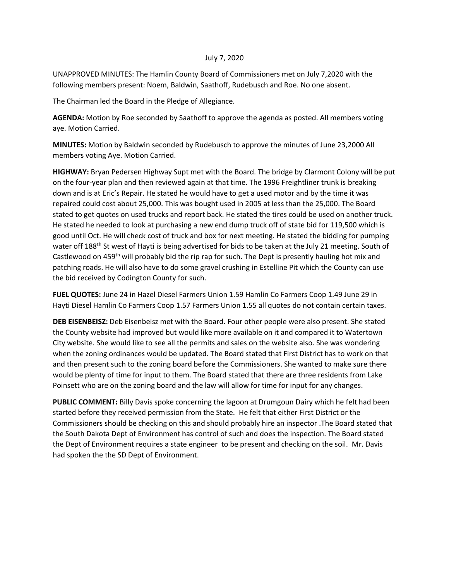## July 7, 2020

UNAPPROVED MINUTES: The Hamlin County Board of Commissioners met on July 7,2020 with the following members present: Noem, Baldwin, Saathoff, Rudebusch and Roe. No one absent.

The Chairman led the Board in the Pledge of Allegiance.

**AGENDA:** Motion by Roe seconded by Saathoff to approve the agenda as posted. All members voting aye. Motion Carried.

**MINUTES:** Motion by Baldwin seconded by Rudebusch to approve the minutes of June 23,2000 All members voting Aye. Motion Carried.

**HIGHWAY:** Bryan Pedersen Highway Supt met with the Board. The bridge by Clarmont Colony will be put on the four-year plan and then reviewed again at that time. The 1996 Freightliner trunk is breaking down and is at Eric's Repair. He stated he would have to get a used motor and by the time it was repaired could cost about 25,000. This was bought used in 2005 at less than the 25,000. The Board stated to get quotes on used trucks and report back. He stated the tires could be used on another truck. He stated he needed to look at purchasing a new end dump truck off of state bid for 119,500 which is good until Oct. He will check cost of truck and box for next meeting. He stated the bidding for pumping water off 188<sup>th</sup> St west of Hayti is being advertised for bids to be taken at the July 21 meeting. South of Castlewood on 459<sup>th</sup> will probably bid the rip rap for such. The Dept is presently hauling hot mix and patching roads. He will also have to do some gravel crushing in Estelline Pit which the County can use the bid received by Codington County for such.

**FUEL QUOTES:** June 24 in Hazel Diesel Farmers Union 1.59 Hamlin Co Farmers Coop 1.49 June 29 in Hayti Diesel Hamlin Co Farmers Coop 1.57 Farmers Union 1.55 all quotes do not contain certain taxes.

**DEB EISENBEISZ:** Deb Eisenbeisz met with the Board. Four other people were also present. She stated the County website had improved but would like more available on it and compared it to Watertown City website. She would like to see all the permits and sales on the website also. She was wondering when the zoning ordinances would be updated. The Board stated that First District has to work on that and then present such to the zoning board before the Commissioners. She wanted to make sure there would be plenty of time for input to them. The Board stated that there are three residents from Lake Poinsett who are on the zoning board and the law will allow for time for input for any changes.

**PUBLIC COMMENT:** Billy Davis spoke concerning the lagoon at Drumgoun Dairy which he felt had been started before they received permission from the State. He felt that either First District or the Commissioners should be checking on this and should probably hire an inspector .The Board stated that the South Dakota Dept of Environment has control of such and does the inspection. The Board stated the Dept of Environment requires a state engineer to be present and checking on the soil. Mr. Davis had spoken the the SD Dept of Environment.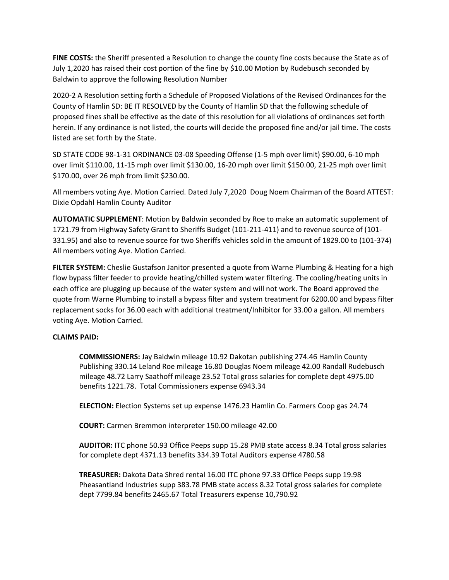**FINE COSTS:** the Sheriff presented a Resolution to change the county fine costs because the State as of July 1,2020 has raised their cost portion of the fine by \$10.00 Motion by Rudebusch seconded by Baldwin to approve the following Resolution Number

2020-2 A Resolution setting forth a Schedule of Proposed Violations of the Revised Ordinances for the County of Hamlin SD: BE IT RESOLVED by the County of Hamlin SD that the following schedule of proposed fines shall be effective as the date of this resolution for all violations of ordinances set forth herein. If any ordinance is not listed, the courts will decide the proposed fine and/or jail time. The costs listed are set forth by the State.

SD STATE CODE 98-1-31 ORDINANCE 03-08 Speeding Offense (1-5 mph over limit) \$90.00, 6-10 mph over limit \$110.00, 11-15 mph over limit \$130.00, 16-20 mph over limit \$150.00, 21-25 mph over limit \$170.00, over 26 mph from limit \$230.00.

All members voting Aye. Motion Carried. Dated July 7,2020 Doug Noem Chairman of the Board ATTEST: Dixie Opdahl Hamlin County Auditor

**AUTOMATIC SUPPLEMENT**: Motion by Baldwin seconded by Roe to make an automatic supplement of 1721.79 from Highway Safety Grant to Sheriffs Budget (101-211-411) and to revenue source of (101- 331.95) and also to revenue source for two Sheriffs vehicles sold in the amount of 1829.00 to (101-374) All members voting Aye. Motion Carried.

**FILTER SYSTEM:** Cheslie Gustafson Janitor presented a quote from Warne Plumbing & Heating for a high flow bypass filter feeder to provide heating/chilled system water filtering. The cooling/heating units in each office are plugging up because of the water system and will not work. The Board approved the quote from Warne Plumbing to install a bypass filter and system treatment for 6200.00 and bypass filter replacement socks for 36.00 each with additional treatment/Inhibitor for 33.00 a gallon. All members voting Aye. Motion Carried.

## **CLAIMS PAID:**

**COMMISSIONERS:** Jay Baldwin mileage 10.92 Dakotan publishing 274.46 Hamlin County Publishing 330.14 Leland Roe mileage 16.80 Douglas Noem mileage 42.00 Randall Rudebusch mileage 48.72 Larry Saathoff mileage 23.52 Total gross salaries for complete dept 4975.00 benefits 1221.78. Total Commissioners expense 6943.34

**ELECTION:** Election Systems set up expense 1476.23 Hamlin Co. Farmers Coop gas 24.74

**COURT:** Carmen Bremmon interpreter 150.00 mileage 42.00

**AUDITOR:** ITC phone 50.93 Office Peeps supp 15.28 PMB state access 8.34 Total gross salaries for complete dept 4371.13 benefits 334.39 Total Auditors expense 4780.58

**TREASURER:** Dakota Data Shred rental 16.00 ITC phone 97.33 Office Peeps supp 19.98 Pheasantland Industries supp 383.78 PMB state access 8.32 Total gross salaries for complete dept 7799.84 benefits 2465.67 Total Treasurers expense 10,790.92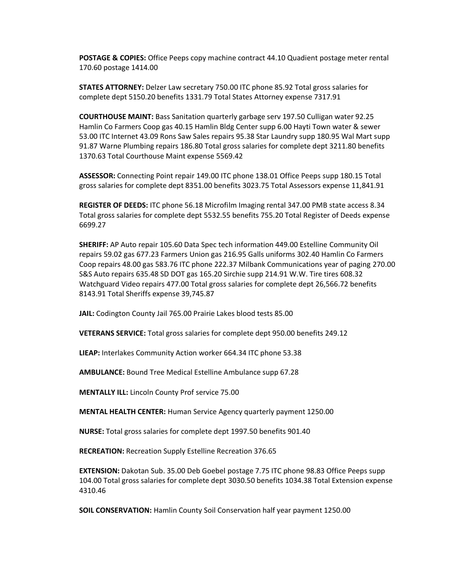**POSTAGE & COPIES:** Office Peeps copy machine contract 44.10 Quadient postage meter rental 170.60 postage 1414.00

**STATES ATTORNEY:** Delzer Law secretary 750.00 ITC phone 85.92 Total gross salaries for complete dept 5150.20 benefits 1331.79 Total States Attorney expense 7317.91

**COURTHOUSE MAINT:** Bass Sanitation quarterly garbage serv 197.50 Culligan water 92.25 Hamlin Co Farmers Coop gas 40.15 Hamlin Bldg Center supp 6.00 Hayti Town water & sewer 53.00 ITC Internet 43.09 Rons Saw Sales repairs 95.38 Star Laundry supp 180.95 Wal Mart supp 91.87 Warne Plumbing repairs 186.80 Total gross salaries for complete dept 3211.80 benefits 1370.63 Total Courthouse Maint expense 5569.42

**ASSESSOR:** Connecting Point repair 149.00 ITC phone 138.01 Office Peeps supp 180.15 Total gross salaries for complete dept 8351.00 benefits 3023.75 Total Assessors expense 11,841.91

**REGISTER OF DEEDS:** ITC phone 56.18 Microfilm Imaging rental 347.00 PMB state access 8.34 Total gross salaries for complete dept 5532.55 benefits 755.20 Total Register of Deeds expense 6699.27

**SHERIFF:** AP Auto repair 105.60 Data Spec tech information 449.00 Estelline Community Oil repairs 59.02 gas 677.23 Farmers Union gas 216.95 Galls uniforms 302.40 Hamlin Co Farmers Coop repairs 48.00 gas 583.76 ITC phone 222.37 Milbank Communications year of paging 270.00 S&S Auto repairs 635.48 SD DOT gas 165.20 Sirchie supp 214.91 W.W. Tire tires 608.32 Watchguard Video repairs 477.00 Total gross salaries for complete dept 26,566.72 benefits 8143.91 Total Sheriffs expense 39,745.87

**JAIL:** Codington County Jail 765.00 Prairie Lakes blood tests 85.00

**VETERANS SERVICE:** Total gross salaries for complete dept 950.00 benefits 249.12

**LIEAP:** Interlakes Community Action worker 664.34 ITC phone 53.38

**AMBULANCE:** Bound Tree Medical Estelline Ambulance supp 67.28

**MENTALLY ILL:** Lincoln County Prof service 75.00

**MENTAL HEALTH CENTER:** Human Service Agency quarterly payment 1250.00

**NURSE:** Total gross salaries for complete dept 1997.50 benefits 901.40

**RECREATION:** Recreation Supply Estelline Recreation 376.65

**EXTENSION:** Dakotan Sub. 35.00 Deb Goebel postage 7.75 ITC phone 98.83 Office Peeps supp 104.00 Total gross salaries for complete dept 3030.50 benefits 1034.38 Total Extension expense 4310.46

**SOIL CONSERVATION:** Hamlin County Soil Conservation half year payment 1250.00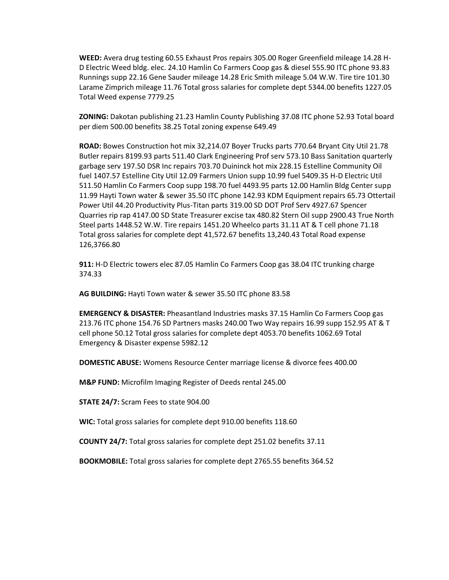**WEED:** Avera drug testing 60.55 Exhaust Pros repairs 305.00 Roger Greenfield mileage 14.28 H-D Electric Weed bldg. elec. 24.10 Hamlin Co Farmers Coop gas & diesel 555.90 ITC phone 93.83 Runnings supp 22.16 Gene Sauder mileage 14.28 Eric Smith mileage 5.04 W.W. Tire tire 101.30 Larame Zimprich mileage 11.76 Total gross salaries for complete dept 5344.00 benefits 1227.05 Total Weed expense 7779.25

**ZONING:** Dakotan publishing 21.23 Hamlin County Publishing 37.08 ITC phone 52.93 Total board per diem 500.00 benefits 38.25 Total zoning expense 649.49

**ROAD:** Bowes Construction hot mix 32,214.07 Boyer Trucks parts 770.64 Bryant City Util 21.78 Butler repairs 8199.93 parts 511.40 Clark Engineering Prof serv 573.10 Bass Sanitation quarterly garbage serv 197.50 DSR Inc repairs 703.70 Duininck hot mix 228.15 Estelline Community Oil fuel 1407.57 Estelline City Util 12.09 Farmers Union supp 10.99 fuel 5409.35 H-D Electric Util 511.50 Hamlin Co Farmers Coop supp 198.70 fuel 4493.95 parts 12.00 Hamlin Bldg Center supp 11.99 Hayti Town water & sewer 35.50 ITC phone 142.93 KDM Equipment repairs 65.73 Ottertail Power Util 44.20 Productivity Plus-Titan parts 319.00 SD DOT Prof Serv 4927.67 Spencer Quarries rip rap 4147.00 SD State Treasurer excise tax 480.82 Stern Oil supp 2900.43 True North Steel parts 1448.52 W.W. Tire repairs 1451.20 Wheelco parts 31.11 AT & T cell phone 71.18 Total gross salaries for complete dept 41,572.67 benefits 13,240.43 Total Road expense 126,3766.80

**911:** H-D Electric towers elec 87.05 Hamlin Co Farmers Coop gas 38.04 ITC trunking charge 374.33

**AG BUILDING:** Hayti Town water & sewer 35.50 ITC phone 83.58

**EMERGENCY & DISASTER:** Pheasantland Industries masks 37.15 Hamlin Co Farmers Coop gas 213.76 ITC phone 154.76 SD Partners masks 240.00 Two Way repairs 16.99 supp 152.95 AT & T cell phone 50.12 Total gross salaries for complete dept 4053.70 benefits 1062.69 Total Emergency & Disaster expense 5982.12

**DOMESTIC ABUSE:** Womens Resource Center marriage license & divorce fees 400.00

**M&P FUND:** Microfilm Imaging Register of Deeds rental 245.00

**STATE 24/7:** Scram Fees to state 904.00

**WIC:** Total gross salaries for complete dept 910.00 benefits 118.60

**COUNTY 24/7:** Total gross salaries for complete dept 251.02 benefits 37.11

**BOOKMOBILE:** Total gross salaries for complete dept 2765.55 benefits 364.52